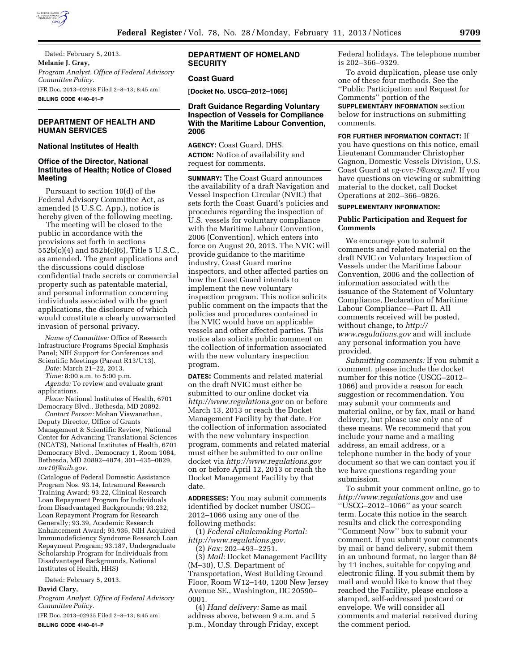

Dated: February 5, 2013. **Melanie J. Gray,**  *Program Analyst, Office of Federal Advisory Committee Policy.*  [FR Doc. 2013–02938 Filed 2–8–13; 8:45 am] **BILLING CODE 4140–01–P** 

# **DEPARTMENT OF HEALTH AND HUMAN SERVICES**

# **National Institutes of Health**

### **Office of the Director, National Institutes of Health; Notice of Closed Meeting**

Pursuant to section 10(d) of the Federal Advisory Committee Act, as amended (5 U.S.C. App.), notice is hereby given of the following meeting.

The meeting will be closed to the public in accordance with the provisions set forth in sections 552b(c)(4) and 552b(c)(6), Title 5 U.S.C., as amended. The grant applications and the discussions could disclose confidential trade secrets or commercial property such as patentable material, and personal information concerning individuals associated with the grant applications, the disclosure of which would constitute a clearly unwarranted invasion of personal privacy.

*Name of Committee:* Office of Research Infrastructure Programs Special Emphasis Panel; NIH Support for Conferences and Scientific Meetings (Parent R13/U13).

*Date:* March 21–22, 2013.

*Time:* 8:00 a.m. to 5:00 p.m. *Agenda:* To review and evaluate grant

applications.

*Place:* National Institutes of Health, 6701 Democracy Blvd., Bethesda, MD 20892.

*Contact Person:* Mohan Viswanathan, Deputy Director, Office of Grants Management & Scientific Review, National Center for Advancing Translational Sciences (NCATS), National Institutes of Health, 6701 Democracy Blvd., Democracy 1, Room 1084, Bethesda, MD 20892–4874, 301–435–0829, *[mv10f@nih.gov.](mailto:mv10f@nih.gov)* 

(Catalogue of Federal Domestic Assistance Program Nos. 93.14, Intramural Research Training Award; 93.22, Clinical Research Loan Repayment Program for Individuals from Disadvantaged Backgrounds; 93.232, Loan Repayment Program for Research Generally; 93.39, Academic Research Enhancement Award; 93.936, NIH Acquired Immunodeficiency Syndrome Research Loan Repayment Program; 93.187, Undergraduate Scholarship Program for Individuals from Disadvantaged Backgrounds, National Institutes of Health, HHS)

Dated: February 5, 2013.

#### **David Clary,**

*Program Analyst, Office of Federal Advisory Committee Policy.* 

[FR Doc. 2013–02935 Filed 2–8–13; 8:45 am] **BILLING CODE 4140–01–P** 

# **DEPARTMENT OF HOMELAND SECURITY**

### **Coast Guard**

**[Docket No. USCG–2012–1066]** 

## **Draft Guidance Regarding Voluntary Inspection of Vessels for Compliance With the Maritime Labour Convention, 2006**

**AGENCY:** Coast Guard, DHS. **ACTION:** Notice of availability and request for comments.

**SUMMARY:** The Coast Guard announces the availability of a draft Navigation and Vessel Inspection Circular (NVIC) that sets forth the Coast Guard's policies and procedures regarding the inspection of U.S. vessels for voluntary compliance with the Maritime Labour Convention, 2006 (Convention), which enters into force on August 20, 2013. The NVIC will provide guidance to the maritime industry, Coast Guard marine inspectors, and other affected parties on how the Coast Guard intends to implement the new voluntary inspection program. This notice solicits public comment on the impacts that the policies and procedures contained in the NVIC would have on applicable vessels and other affected parties. This notice also solicits public comment on the collection of information associated with the new voluntary inspection program.

**DATES:** Comments and related material on the draft NVIC must either be submitted to our online docket via *<http://www.regulations.gov>* on or before March 13, 2013 or reach the Docket Management Facility by that date. For the collection of information associated with the new voluntary inspection program, comments and related material must either be submitted to our online docket via *<http://www.regulations.gov>*  on or before April 12, 2013 or reach the Docket Management Facility by that date.

**ADDRESSES:** You may submit comments identified by docket number USCG– 2012–1066 using any one of the following methods:

(1) *Federal eRulemaking Portal: [http://www.regulations.gov.](http://www.regulations.gov)* 

(2) *Fax:* 202–493–2251.

(3) *Mail:* Docket Management Facility (M–30), U.S. Department of Transportation, West Building Ground Floor, Room W12–140, 1200 New Jersey Avenue SE., Washington, DC 20590– 0001.

(4) *Hand delivery:* Same as mail address above, between 9 a.m. and 5 p.m., Monday through Friday, except Federal holidays. The telephone number is 202–366–9329.

To avoid duplication, please use only one of these four methods. See the ''Public Participation and Request for Comments'' portion of the **SUPPLEMENTARY INFORMATION** section

below for instructions on submitting comments.

### **FOR FURTHER INFORMATION CONTACT:** If

you have questions on this notice, email Lieutenant Commander Christopher Gagnon, Domestic Vessels Division, U.S. Coast Guard at *[cg-cvc-1@uscg.mil.](mailto:cg-cvc-1@uscg.mil)* If you have questions on viewing or submitting material to the docket, call Docket Operations at 202–366–9826.

### **SUPPLEMENTARY INFORMATION:**

#### **Public Participation and Request for Comments**

We encourage you to submit comments and related material on the draft NVIC on Voluntary Inspection of Vessels under the Maritime Labour Convention, 2006 and the collection of information associated with the issuance of the Statement of Voluntary Compliance, Declaration of Maritime Labour Compliance—Part II. All comments received will be posted, without change, to *[http://](http://www.regulations.gov)  [www.regulations.gov](http://www.regulations.gov)* and will include any personal information you have provided.

*Submitting comments:* If you submit a comment, please include the docket number for this notice (USCG–2012– 1066) and provide a reason for each suggestion or recommendation. You may submit your comments and material online, or by fax, mail or hand delivery, but please use only one of these means. We recommend that you include your name and a mailing address, an email address, or a telephone number in the body of your document so that we can contact you if we have questions regarding your submission.

To submit your comment online, go to *<http://www.regulations.gov>* and use ''USCG–2012–1066'' as your search term. Locate this notice in the search results and click the corresponding ''Comment Now'' box to submit your comment. If you submit your comments by mail or hand delivery, submit them in an unbound format, no larger than  $8\frac{1}{2}$ by 11 inches, suitable for copying and electronic filing. If you submit them by mail and would like to know that they reached the Facility, please enclose a stamped, self-addressed postcard or envelope. We will consider all comments and material received during the comment period.